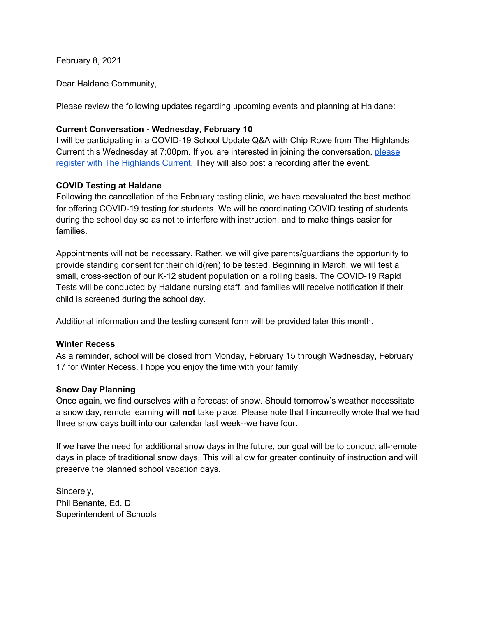February 8, 2021

Dear Haldane Community,

Please review the following updates regarding upcoming events and planning at Haldane:

## **Current Conversation - Wednesday, February 10**

I will be participating in a COVID-19 School Update Q&A with Chip Rowe from The Highlands Current this Wednesday at 7:00pm. If you are interested in joining the conversation, [please](https://us02web.zoom.us/webinar/register/WN_u3UFUhQlQL2oLLFfKaT0hQ?utm_source=Main+List&utm_campaign=9997d698db-CURRENT_CONSERVATION_JULY_29_COPY_01&utm_medium=email&utm_term=0_ea0c943479-9997d698db-544604050) register with The [Highlands](https://us02web.zoom.us/webinar/register/WN_u3UFUhQlQL2oLLFfKaT0hQ?utm_source=Main+List&utm_campaign=9997d698db-CURRENT_CONSERVATION_JULY_29_COPY_01&utm_medium=email&utm_term=0_ea0c943479-9997d698db-544604050) Current. They will also post a recording after the event.

### **COVID Testing at Haldane**

Following the cancellation of the February testing clinic, we have reevaluated the best method for offering COVID-19 testing for students. We will be coordinating COVID testing of students during the school day so as not to interfere with instruction, and to make things easier for families.

Appointments will not be necessary. Rather, we will give parents/guardians the opportunity to provide standing consent for their child(ren) to be tested. Beginning in March, we will test a small, cross-section of our K-12 student population on a rolling basis. The COVID-19 Rapid Tests will be conducted by Haldane nursing staff, and families will receive notification if their child is screened during the school day.

Additional information and the testing consent form will be provided later this month.

### **Winter Recess**

As a reminder, school will be closed from Monday, February 15 through Wednesday, February 17 for Winter Recess. I hope you enjoy the time with your family.

### **Snow Day Planning**

Once again, we find ourselves with a forecast of snow. Should tomorrow's weather necessitate a snow day, remote learning **will not** take place. Please note that I incorrectly wrote that we had three snow days built into our calendar last week--we have four.

If we have the need for additional snow days in the future, our goal will be to conduct all-remote days in place of traditional snow days. This will allow for greater continuity of instruction and will preserve the planned school vacation days.

Sincerely, Phil Benante, Ed. D. Superintendent of Schools